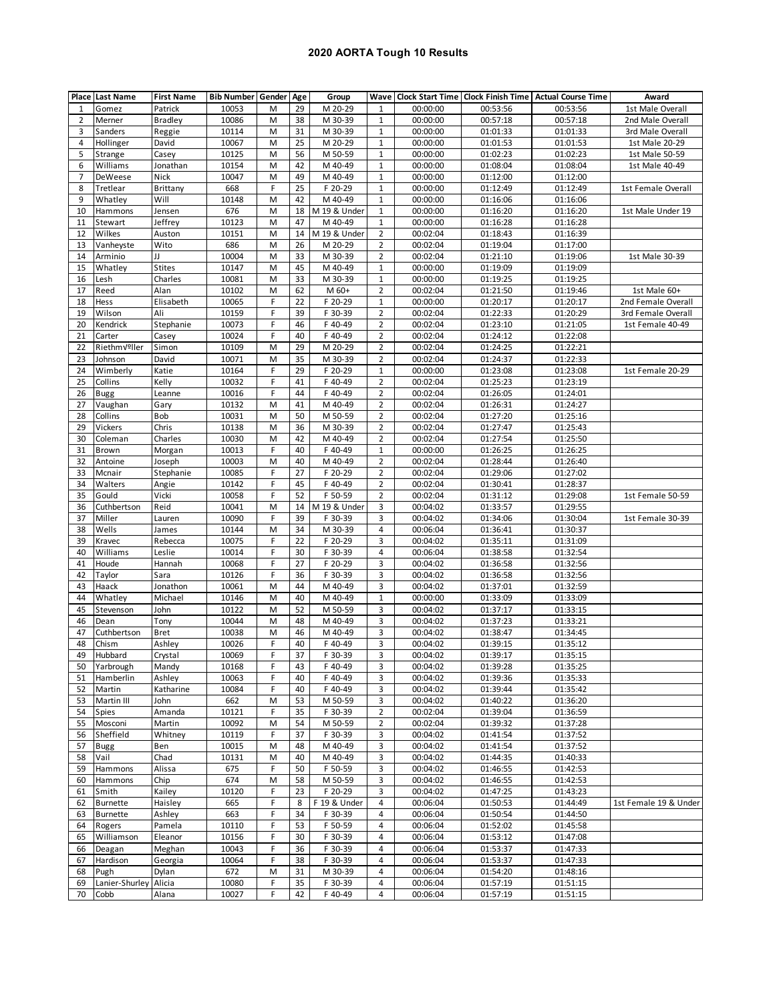## **2020 AORTA Tough 10 Results**

|          | <b>Place Last Name</b>             | <b>First Name</b> | <b>Bib Number Gender Age</b> |        |          | Group                   |                |                      |                      | Wave   Clock Start Time   Clock Finish Time   Actual Course Time | Award                 |
|----------|------------------------------------|-------------------|------------------------------|--------|----------|-------------------------|----------------|----------------------|----------------------|------------------------------------------------------------------|-----------------------|
| 1        | Gomez                              | Patrick           | 10053                        | М      | 29       | M 20-29                 | 1              | 00:00:00             | 00:53:56             | 00:53:56                                                         | 1st Male Overall      |
| 2        | Merner                             | Bradley           | 10086                        | M      | 38       | M 30-39                 | 1              | 00:00:00             | 00:57:18             | 00:57:18                                                         | 2nd Male Overall      |
| 3        | Sanders                            | Reggie            | 10114                        | M      | 31       | M 30-39                 | $\mathbf{1}$   | 00:00:00             | 01:01:33             | 01:01:33                                                         | 3rd Male Overall      |
| 4        | Hollinger                          | David             | 10067                        | M      | 25       | M 20-29                 | 1              | 00:00:00             | 01:01:53             | 01:01:53                                                         | 1st Male 20-29        |
| 5        | Strange                            | Casey             | 10125                        | M      | 56       | M 50-59                 | $\mathbf{1}$   | 00:00:00             | 01:02:23             | 01:02:23                                                         | 1st Male 50-59        |
| 6        | Williams                           | Jonathan          | 10154                        | M      | 42       | M 40-49                 | 1              | 00:00:00             | 01:08:04             | 01:08:04                                                         | 1st Male 40-49        |
| 7        | DeWeese                            | Nick              | 10047                        | M      | 49       | M 40-49                 | $\mathbf{1}$   | 00:00:00             | 01:12:00             | 01:12:00                                                         |                       |
| 8        | Tretlear                           | <b>Brittany</b>   | 668                          | F      | 25       | F 20-29                 | 1              | 00:00:00             | 01:12:49             | 01:12:49                                                         | 1st Female Overall    |
| 9        | Whatley                            | Will              | 10148                        | M      | 42       | M 40-49                 | $\mathbf{1}$   | 00:00:00             | 01:16:06             | 01:16:06                                                         |                       |
| 10       | Hammons                            | Jensen            | 676                          | M      | 18       | M 19 & Under            | $\mathbf{1}$   | 00:00:00             | 01:16:20             | 01:16:20                                                         | 1st Male Under 19     |
| 11       | Stewart                            | Jeffrey           | 10123                        | M      | 47       | M 40-49                 | $\mathbf{1}$   | 00:00:00             | 01:16:28             | 01:16:28                                                         |                       |
| 12       | Wilkes                             | Auston            | 10151                        | M      | 14       | M 19 & Under            | $\overline{2}$ | 00:02:04             | 01:18:43             | 01:16:39                                                         |                       |
| 13       | Vanheyste                          | Wito              | 686                          | M      | 26       | M 20-29                 | $\overline{2}$ | 00:02:04             | 01:19:04             | 01:17:00                                                         |                       |
| 14       | Arminio                            | IJ                | 10004                        | M      | 33       | M 30-39                 | $\overline{2}$ | 00:02:04             | 01:21:10             | 01:19:06                                                         | 1st Male 30-39        |
| 15       | Whatley                            | <b>Stites</b>     | 10147                        | M      | 45       | M 40-49                 | $\mathbf{1}$   | 00:00:00             | 01:19:09             | 01:19:09                                                         |                       |
| 16       | Lesh                               | Charles           | 10081                        | M      | 33       | M 30-39                 | $\mathbf{1}$   | 00:00:00             | 01:19:25             | 01:19:25                                                         |                       |
| 17       | Reed                               | Alan              | 10102                        | M      | 62       | M 60+                   | $\overline{2}$ | 00:02:04             | 01:21:50             | 01:19:46                                                         | 1st Male 60+          |
| 18       | Hess                               | Elisabeth         | 10065                        | F      | 22       | F 20-29                 | $\mathbf{1}$   | 00:00:00             | 01:20:17             | 01:20:17                                                         | 2nd Female Overall    |
| 19       | Wilson                             | Ali               | 10159                        | F      | 39       | F 30-39                 | $\overline{2}$ | 00:02:04             | 01:22:33             | 01:20:29                                                         | 3rd Female Overall    |
| 20       | Kendrick                           | Stephanie         | 10073                        | F      | 46       | F 40-49                 | $\overline{2}$ | 00:02:04             | 01:23:10             | 01:21:05                                                         | 1st Female 40-49      |
| 21       | Carter                             | Casey             | 10024                        | F      | 40       | F 40-49                 | $\overline{2}$ | 00:02:04             | 01:24:12             | 01:22:08                                                         |                       |
| 22       | RiethmVºller                       | Simon             | 10109                        | M      | 29       | M 20-29                 | $\overline{2}$ | 00:02:04             | 01:24:25             | 01:22:21                                                         |                       |
| 23       | Johnson                            | David             | 10071                        | M      | 35       | M 30-39                 | $\overline{2}$ | 00:02:04             | 01:24:37             | 01:22:33                                                         |                       |
| 24       | Wimberly                           | Katie             | 10164                        | F      | 29       | F 20-29                 | $\mathbf{1}$   | 00:00:00             | 01:23:08             | 01:23:08                                                         | 1st Female 20-29      |
| 25       | Collins                            | Kelly             | 10032                        | F      | 41       | F 40-49                 | $\overline{2}$ | 00:02:04             | 01:25:23             | 01:23:19                                                         |                       |
| 26       | Bugg                               | Leanne            | 10016                        | F      | 44       | F 40-49                 | $\overline{2}$ | 00:02:04             | 01:26:05             | 01:24:01                                                         |                       |
| 27       | Vaughan                            | Gary              | 10132                        | M      | 41       | M 40-49                 | $\overline{2}$ | 00:02:04             | 01:26:31             | 01:24:27                                                         |                       |
| 28       | Collins                            | Bob               | 10031                        | M      | 50       | M 50-59                 | $\overline{2}$ | 00:02:04             | 01:27:20             | 01:25:16                                                         |                       |
| 29       | Vickers                            | Chris             | 10138                        | M      | 36       | M 30-39                 | $\overline{2}$ | 00:02:04             | 01:27:47             | 01:25:43                                                         |                       |
| 30       | Coleman                            | Charles           | 10030                        | M      | 42       | M 40-49                 | $\overline{2}$ | 00:02:04             | 01:27:54             | 01:25:50                                                         |                       |
| 31       | Brown                              | Morgan            | 10013                        | F      | 40       | F 40-49                 | $\mathbf{1}$   | 00:00:00             | 01:26:25             | 01:26:25                                                         |                       |
| 32       | Antoine                            | Joseph            | 10003                        | M      | 40       | M 40-49                 | $\overline{2}$ | 00:02:04             | 01:28:44             | 01:26:40                                                         |                       |
| 33       | Mcnair                             | Stephanie         | 10085                        | F      | 27       | F 20-29                 | $\overline{2}$ | 00:02:04             | 01:29:06             | 01:27:02                                                         |                       |
| 34       | Walters                            | Angie             | 10142                        | F      | 45       | F 40-49                 | $\overline{2}$ | 00:02:04             | 01:30:41             | 01:28:37                                                         |                       |
| 35       | Gould                              | Vicki             | 10058                        | F      | 52       | F 50-59                 | $\overline{2}$ | 00:02:04             | 01:31:12             | 01:29:08                                                         | 1st Female 50-59      |
| 36       | Cuthbertson                        | Reid              | 10041                        | M      | 14       | M 19 & Under            | 3              | 00:04:02             | 01:33:57             | 01:29:55                                                         |                       |
| 37       | Miller                             | Lauren            | 10090                        | F      | 39       | F 30-39                 | 3              | 00:04:02             | 01:34:06             | 01:30:04                                                         | 1st Female 30-39      |
| 38       | Wells                              | James             | 10144                        | M      | 34       | M 30-39                 | 4              | 00:06:04             | 01:36:41             | 01:30:37                                                         |                       |
| 39       | Kravec                             | Rebecca           | 10075                        | F      | 22       | F 20-29                 | 3              | 00:04:02             | 01:35:11             | 01:31:09                                                         |                       |
| 40       | Williams                           | Leslie            | 10014                        | F      | 30       | F 30-39                 | 4              | 00:06:04             | 01:38:58             | 01:32:54                                                         |                       |
| 41       | Houde                              | Hannah            | 10068                        | F      | 27       | F 20-29                 | 3              | 00:04:02             | 01:36:58             | 01:32:56                                                         |                       |
| 42       | Taylor                             | Sara              | 10126                        | F.     | 36       | F 30-39                 | 3              | 00:04:02             | 01:36:58             | 01:32:56                                                         |                       |
| 43       | Haack                              | Jonathon          | 10061                        | M      | 44       | M 40-49                 | 3              | 00:04:02             | 01:37:01             | 01:32:59                                                         |                       |
| 44       | Whatley                            | Michael           | 10146                        | M      | 40       | M 40-49                 | $\mathbf{1}$   | 00:00:00             | 01:33:09             | 01:33:09                                                         |                       |
| 45       | Stevenson                          | John              | 10122                        | M      | 52       | M 50-59                 | 3              | 00:04:02             | 01:37:17             | 01:33:15                                                         |                       |
| 46       | Dean                               | Tony              | 10044                        | M      | 48       | M 40-49                 | 3              | 00:04:02             | 01:37:23             | 01:33:21                                                         |                       |
| 47       | Cuthbertson                        | Bret              | 10038                        | M      | 46       | M 40-49                 | 3              | 00:04:02             | 01:38:47             | 01:34:45                                                         |                       |
| 48       | Chism                              | Ashley            | 10026                        | F      | 40       | F 40-49                 | 3              | 00:04:02             | 01:39:15             | 01:35:12                                                         |                       |
| 49       | Hubbard                            | Crystal           | 10069                        | F      | 37       | F 30-39                 | 3              | 00:04:02             | 01:39:17             | 01:35:15                                                         |                       |
| 50       | Yarbrough                          | Mandy             | 10168                        | F      | 43       | F 40-49                 | 3              | 00:04:02             | 01:39:28             | 01:35:25                                                         |                       |
| 51       | Hamberlin                          | Ashley            | 10063                        | F      | 40       | F 40-49                 | 3              | 00:04:02             | 01:39:36             | 01:35:33                                                         |                       |
| 52       | Martin                             | Katharine         | 10084                        | F      | 40       | F 40-49                 | 3              | 00:04:02             | 01:39:44             | 01:35:42                                                         |                       |
| 53       | Martin III                         | John              | 662                          | M<br>F | 53       | M 50-59                 | 3              | 00:04:02             | 01:40:22             | 01:36:20                                                         |                       |
| 54       | Spies                              | Amanda            | 10121                        |        | 35       | F 30-39                 | $\overline{2}$ | 00:02:04             | 01:39:04             | 01:36:59                                                         |                       |
| 55       | Mosconi                            | Martin            | 10092                        | M      | 54       | M 50-59                 | $\overline{2}$ | 00:02:04             | 01:39:32             | 01:37:28                                                         |                       |
| 56       | Sheffield                          | Whitney           | 10119                        | F      | 37       | F 30-39                 | 3              | 00:04:02             | 01:41:54             | 01:37:52                                                         |                       |
| 57       | <b>Bugg</b>                        | Ben               | 10015                        | M      | 48       | M 40-49                 | 3              | 00:04:02             | 01:41:54             | 01:37:52                                                         |                       |
| 58       | Vail                               | Chad              | 10131                        | M      | 40       | M 40-49                 | 3              | 00:04:02<br>00:04:02 | 01:44:35             | 01:40:33                                                         |                       |
| 59       | Hammons                            | Alissa            | 675                          | F      | 50       | F 50-59                 | 3              |                      | 01:46:55             | 01:42:53                                                         |                       |
| 60       | Hammons                            | Chip<br>Kailey    | 674<br>10120                 | M<br>F | 58<br>23 | M 50-59<br>F 20-29      | 3<br>3         | 00:04:02<br>00:04:02 | 01:46:55<br>01:47:25 | 01:42:53<br>01:43:23                                             |                       |
| 61<br>62 | Smith                              |                   | 665                          | F      |          |                         | 4              | 00:06:04             | 01:50:53             |                                                                  | 1st Female 19 & Under |
| 63       | <b>Burnette</b><br><b>Burnette</b> | Haisley<br>Ashley | 663                          | F      | 8<br>34  | F 19 & Under<br>F 30-39 | 4              | 00:06:04             | 01:50:54             | 01:44:49<br>01:44:50                                             |                       |
| 64       | Rogers                             | Pamela            | 10110                        | F      | 53       | F 50-59                 | 4              | 00:06:04             | 01:52:02             | 01:45:58                                                         |                       |
| 65       | Williamson                         | Eleanor           | 10156                        | F      | 30       | F 30-39                 | 4              | 00:06:04             | 01:53:12             | 01:47:08                                                         |                       |
| 66       | Deagan                             | Meghan            | 10043                        | F      | 36       | F 30-39                 | 4              | 00:06:04             | 01:53:37             | 01:47:33                                                         |                       |
| 67       | Hardison                           | Georgia           | 10064                        | F      | 38       | F 30-39                 | 4              | 00:06:04             | 01:53:37             | 01:47:33                                                         |                       |
| 68       | Pugh                               | Dylan             | 672                          | M      | 31       | M 30-39                 | 4              | 00:06:04             | 01:54:20             | 01:48:16                                                         |                       |
| 69       | Lanier-Shurley                     | Alicia            | 10080                        | F      | 35       | F 30-39                 | 4              | 00:06:04             | 01:57:19             | 01:51:15                                                         |                       |
| 70       | Cobb                               | Alana             | 10027                        | F      | 42       | F 40-49                 | 4              | 00:06:04             | 01:57:19             | 01:51:15                                                         |                       |
|          |                                    |                   |                              |        |          |                         |                |                      |                      |                                                                  |                       |